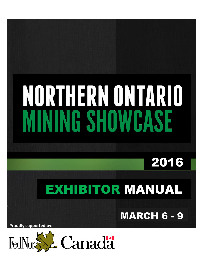# NORTHERN ONTARIO **INING SHOWCASE**

2016

# EXHIBITOR MANUAL

**MARCH 6 - 9** 

**Proudly supported by:**

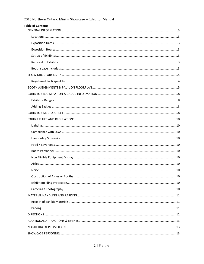| <b>Table of Contents</b> |  |
|--------------------------|--|
|                          |  |
|                          |  |
|                          |  |
|                          |  |
|                          |  |
|                          |  |
|                          |  |
|                          |  |
|                          |  |
|                          |  |
|                          |  |
|                          |  |
|                          |  |
|                          |  |
|                          |  |
|                          |  |
|                          |  |
|                          |  |
|                          |  |
|                          |  |
|                          |  |
|                          |  |
|                          |  |
|                          |  |
|                          |  |
|                          |  |
|                          |  |
|                          |  |
|                          |  |
|                          |  |
|                          |  |
|                          |  |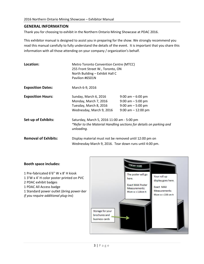# <span id="page-2-0"></span>**GENERAL INFORMATION**

Thank you for choosing to exhibit in the Northern Ontario Mining Showcase at PDAC 2016.

This exhibitor manual is designed to assist you in preparing for the show. We strongly recommend you read this manual carefully to fully understand the details of the event. It is important that you share this information with all those attending on your company / organization's behalf.

<span id="page-2-3"></span><span id="page-2-2"></span><span id="page-2-1"></span>

| Location:                   | Metro Toronto Convention Centre (MTCC)<br>255 Front Street W., Toronto, ON<br>North Building - Exhibit Hall C<br>Pavilion #6501N |                                                                                               |
|-----------------------------|----------------------------------------------------------------------------------------------------------------------------------|-----------------------------------------------------------------------------------------------|
| <b>Exposition Dates:</b>    | March 6-9, 2016                                                                                                                  |                                                                                               |
| <b>Exposition Hours:</b>    | Sunday, March 6, 2016<br>Monday, March 7, 2016<br>Tuesday, March 8, 2016<br>Wednesday, March 9, 2016                             | $9:00$ am $-6:00$ pm<br>$9:00$ am $-5:00$ pm<br>$9:00$ am $-5:00$ pm<br>$9:00$ am $-12:00$ pm |
| <b>Set-up of Exhibits:</b>  | Saturday, March 5, 2016 11:00 am - 5:00 pm<br>*Refer to the Material Handling sections for details on parking and<br>unloading.  |                                                                                               |
| <b>Removal of Exhibits:</b> | Display material must not be removed until 12:00 pm on<br>Wednesday March 9, 2016. Tear down runs until 4:00 pm.                 |                                                                                               |

# <span id="page-2-6"></span><span id="page-2-5"></span><span id="page-2-4"></span>**Booth space includes:**

<span id="page-2-7"></span>1 Pre-fabricated 6'6" W x 8' H kiosk 1 3'W x 4' H color poster printed on PVC 2 PDAC exhibit badges 1 PDAC All Access badge 1 Standard power outlet (*bring power-bar if you require additional plug-ins*)

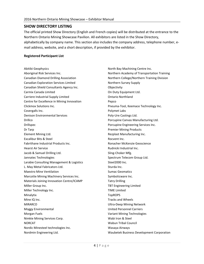# **SHOW DIRECTORY LISTING**

The official printed Show Directory (English and French copies) will be distributed at the entrance to the Northern Ontario Mining Showcase Pavilion. All exhibitors are listed in the Show Directory, alphabetically by company name. This section also includes the company address, telephone number, email address, website, and a short description, if provided by the exhibitor.

#### <span id="page-3-0"></span>**Registered Participant List**

Abitibi Geophysics Aboriginal Risk Services Inc. Canadian Diamond Drilling Association Canadian Exploration Services Limited Canadian Shield Consultants Agency Inc. Carmix Canada Limited Carriere Industrial Supply Limited Centre for Excellence in Mining Innovation Clickmox Solutions Inc. Covergalls Inc. Denison Environmental Services **Drillco** Drillspec Dr Tarp Element Mining Ltd. Excalibur Bits & Steel Fabrithane Industrial Products Inc. Hearst Air Service Jacob & Samuel Drilling Ltd. Jannatec Technologies Larabie Consulting Management & Logistics L. May Metal Fabricators Ltd. Maestro Mine Ventilation Marcotte Mining Machinery Services Inc. Materials Joining Innovation Centre/ICAMP Miller Group Inc. Miller Technology Inc. Minalytix Mine IQ Inc. MIRARCO Moggy Environmental Morgan Fuels Nimkie Mining Services Corp. NORCAT Nordic Minesteel technologies Inc. Nordmin Engineering Ltd.

North Bay Machining Centre Inc. Northern Academy of Transportation Training Northern College/Northern Training Division Northern Survey Supply **Objectivity** On Duty Equipment Ltd. Ontario Northland Pepco Pneuma-Tool, Keemace Technology Inc. Polymet Labs Poly-Ure Castings Ltd. Porcupine Canvas Manufacturing Ltd. Porcupine Engineering Services Inc. Premier Mining Products Rezplast Manufacturing Inc. Rocvent Inc. Ronacher McKenzie Geoscience Rudnicki Industrial Inc. Sling-Choker Mfg. Spectrum Telecom Group Ltd. Steel2000 Inc. Sturda Inc. Sumac Geomatics Symboticware Inc. Tatry Drilling TBT Engineering Limited TIME Limited **TopROPS** Tracks and Wheels Ultra-Deep Mining Network United Personnel Carriers Variant Mining Technologies Wabi Iron & Steel Wabun Tribal Council Wasaya Airways Waubetek Business Development Corporation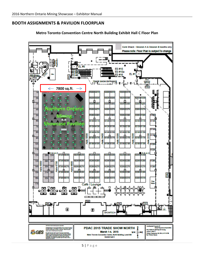# <span id="page-4-0"></span>**BOOTH ASSIGNMENTS & PAVILION FLOORPLAN**



**Metro Toronto Convention Centre North Building Exhibit Hall C Floor Plan**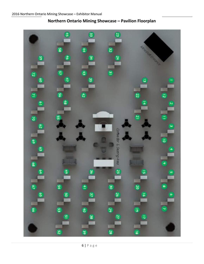

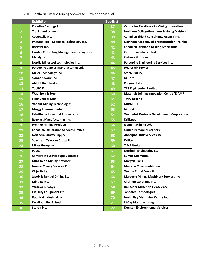# 2016 Northern Ontario Mining Showcase – Exhibitor Manual

|                | <b>Exhibitor</b>                                     | Booth # |                                                    |
|----------------|------------------------------------------------------|---------|----------------------------------------------------|
| $\mathbf{1}$   | <b>Poly-Ure Castings Ltd.</b>                        | 37      | <b>Centre for Excellence in Mining Innovation</b>  |
| $\overline{2}$ | <b>Tracks and Wheels</b>                             | 38      | Northern College/Northern Training Division        |
| 3              | Covergalls Inc.                                      | 39      | <b>Canadian Shield Consultants Agency Inc.</b>     |
| 4              | Pneuma-Tool, Keemace Technology Inc.                 | 40      | <b>Northern Academy of Transportation Training</b> |
| 5              | Rocvent Inc.                                         | 41      | <b>Canadian Diamond Drilling Association</b>       |
| 6              | <b>Larabie Consulting Management &amp; Logistics</b> | 42      | <b>Carmix Canada Limited</b>                       |
| 7              | <b>Minalytix</b>                                     | 43      | <b>Ontario Northland</b>                           |
| 8              | Nordic Minesteel technologies Inc.                   | 44      | Porcupine Engineering Services Inc.                |
| 9              | Porcupine Canvas Manufacturing Ltd.                  | 45      | <b>Hearst Air Service</b>                          |
| 10             | Miller Technology Inc.                               | 46      | Steel2000 Inc.                                     |
| 11             | Symboticware Inc.                                    | 47      | Dr Tarp                                            |
| 12             | <b>Abitibi Geophysics</b>                            | 48      | <b>Polymet Labs</b>                                |
| 13             | <b>TopROPS</b>                                       | 49      | <b>TBT Engineering Limited</b>                     |
| 14             | <b>Wabi Iron &amp; Steel</b>                         | 50      | <b>Materials Joining Innovation Centre/ICAMP</b>   |
| 15             | Sling-Choker Mfg.                                    | 51      | <b>Tatry Drilling</b>                              |
| 16             | <b>Variant Mining Technologies</b>                   | 52      | <b>MIRARCO</b>                                     |
| 17             | <b>Moggy Environmental</b>                           | 53      | <b>NORCAT</b>                                      |
| 18             | <b>Fabrithane Industrial Products Inc.</b>           | 54      | <b>Waubetek Business Development Corporation</b>   |
| 19             | <b>Rezplast Manufacturing Inc.</b>                   | 55      | <b>Drillspec</b>                                   |
| 20             | <b>Premier Mining Products</b>                       | 56      | <b>Element Mining Ltd.</b>                         |
| 21             | <b>Canadian Exploration Services Limited</b>         | 57      | <b>United Personnel Carriers</b>                   |
| 22             | <b>Northern Survey Supply</b>                        | 58      | Aboriginal Risk Services Inc.                      |
| 23             | Spectrum Telecom Group Ltd.                          | 59      | <b>Drillco</b>                                     |
| 24             | Miller Group Inc.                                    | 60      | <b>TIME Limited</b>                                |
| 25             | Pepco                                                | 61      | Nordmin Engineering Ltd.                           |
| 26             | <b>Carriere Industrial Supply Limited</b>            | 62      | <b>Sumac Geomatics</b>                             |
| 27             | <b>Ultra-Deep Mining Network</b>                     | 63      | <b>Morgan Fuels</b>                                |
| 28             | <b>Nimkie Mining Services Corp.</b>                  | 64      | <b>Maestro Mine Ventilation</b>                    |
| 29             | Objectivity                                          | 65      | <b>Wabun Tribal Council</b>                        |
| 30             | Jacob & Samuel Drilling Ltd.                         | 66      | <b>Marcotte Mining Machinery Services Inc.</b>     |
| 31             | Mine IQ Inc.                                         | 67      | <b>Clickmox Solutions Inc.</b>                     |
| 32             | Wasaya Airways                                       | 68      | <b>Ronacher McKenzie Geoscience</b>                |
| 33             | On Duty Equipment Ltd.                               | 69      | <b>Jannatec Technologies</b>                       |
| 34             | Rudnicki Industrial Inc.                             | 70      | North Bay Machining Centre Inc.                    |
| 35             | <b>Excalibur Bits &amp; Steel</b>                    | 71      | <b>L May Manufacturing</b>                         |
| 36             | Sturda Inc.                                          | 72      | <b>Denison Environmental Services</b>              |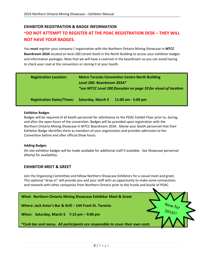# <span id="page-7-0"></span>**EXHIBITOR REGISTRATION & BADGE INFORMATION \*DO NOT ATTEMPT TO REGISTER AT THE PDAC REGISTRATION DESK – THEY WILL NOT HAVE YOUR BADGES.**

You **must** register your company / organization with the Northern Ontario Mining Showcase in **MTCC Boardroom 203A** located on level 200 (street level) in the North Building to access your exhibitor badges and information packages. Note that we will have a coatrack in the boardroom so you can avoid having to check your coat at the convention or storing it at your booth.

| <b>Registration Location:</b>    | <b>Metro Toronto Convention Centre North Building</b><br>Level 200- Boardroom 203A*<br>*see MTCC Level 200 floorplan on page 10 for visual of location |                                      |
|----------------------------------|--------------------------------------------------------------------------------------------------------------------------------------------------------|--------------------------------------|
| <b>Registration Dates/Times:</b> |                                                                                                                                                        | Saturday, March 5 11:00 am - 5:00 pm |

#### <span id="page-7-1"></span>**Exhibitor Badges**

Badges will be required of all booth personnel for admittance to the PDAC Exhibit Floor prior to, during, and after the open hours of the convention. Badges will be provided upon registration with the Northern Ontario Mining Showcase in MTCC Boardroom 203A. Advise your booth personnel that their Exhibitor Badge identifies them as members of your organization and provides admission to the Convention before and after official Show hours.

#### <span id="page-7-2"></span>**Adding Badges**

On-site exhibitor badges will be made available for additional staff if available. See Showcase personnel (Marla) for availability.

# <span id="page-7-3"></span>**EXHIBITOR MEET & GREET**

Join the Organizing Committee and fellow Northern Showcase Exhibitors for a casual meet and greet. This optional "drop-in" will provide you and your staff with an opportunity to make some connections and network with other companies from Northern Ontario prior to the hustle and bustle of PDAC.

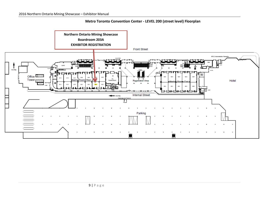# **Metro Toronto Convention Center - LEVEL 200 (street level) Floorplan**

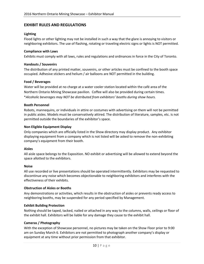# <span id="page-9-0"></span>**EXHIBIT RULES AND REGULATIONS**

#### <span id="page-9-1"></span>**Lighting**

Flood lights or other lighting may not be installed in such a way that the glare is annoying to visitors or neighboring exhibitors. The use of flashing, rotating or traveling electric signs or lights is NOT permitted.

#### <span id="page-9-2"></span>**Compliance with Laws**

Exhibits must comply with all laws, rules and regulations and ordinances in force in the City of Toronto.

#### <span id="page-9-3"></span>**Handouts / Souvenirs**

The distribution of any printed matter, souvenirs, or other articles must be confined to the booth space occupied. Adhesive stickers and helium / air balloons are NOT permitted in the building.

#### <span id="page-9-4"></span>**Food / Beverages**

Water will be provided at no charge at a water cooler station located within the café area of the Northern Ontario Mining Showcase pavilion. Coffee will also be provided during certain times. \**Alcoholic beverages may NOT be distributed from exhibitors' booths during show hours.*

#### <span id="page-9-5"></span>**Booth Personnel**

Robots, mannequins, or individuals in attire or costumes with advertising on them will not be permitted in public aisles. Models must be conservatively attired. The distribution of literature, samples, etc. is not permitted outside the boundaries of the exhibitor's space.

#### <span id="page-9-6"></span>**Non Eligible Equipment Display**

Only companies which are officially listed in the Show directory may display product. Any exhibitor displaying equipment from a company which is not listed will be asked to remove the non-exhibiting company's equipment from their booth.

#### <span id="page-9-7"></span>**Aisles**

All aisle space belongs to the Exposition. NO exhibit or advertising will be allowed to extend beyond the space allotted to the exhibitors.

#### <span id="page-9-8"></span>**Noise**

All use recorded or live presentations should be operated intermittently. Exhibitors may be requested to discontinue any noise which becomes objectionable to neighboring exhibitors and interferes with the effectiveness of their exhibits.

#### <span id="page-9-9"></span>**Obstruction of Aisles or Booths**

Any demonstrations or activities, which results in the obstruction of aisles or prevents ready access to neighboring booths, may be suspended for any period specified by Management.

#### <span id="page-9-10"></span>**Exhibit Building Protection**

Nothing should be taped, tacked, nailed or attached in any way to the columns, walls, ceilings or floor of the exhibit hall. Exhibitors will be liable for any damage they cause to the exhibit hall.

#### <span id="page-9-11"></span>**Cameras / Photography**

With the exception of Showcase personnel, no pictures may be taken on the Show Floor prior to 9:00 am on Sunday March 6. Exhibitors are not permitted to photograph another company's display or equipment at any time without prior permission from that exhibitor.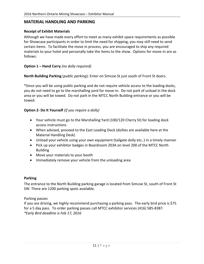# <span id="page-10-0"></span>**MATERIAL HANDLING AND PARKING**

# <span id="page-10-1"></span>**Receipt of Exhibit Materials**

Although we have made every effort to meet as many exhibit space requirements as possible for Showcase participants in order to limit the need for shipping, you may still need to send certain items. To facilitate the move in process, you are encouraged to ship any required materials to your hotel and personally take the items to the show. Options for move-in are as follows:

# **Option 1 – Hand Carry** *(no dolly required)*

**North Building Parking** (*public parking*): Enter on Simcoe St just south of Front St doors.

\*Since you will be using public parking and do not require vehicle access to the loading docks, you do not need to go to the marshalling yard for move-in. Do not park of unload in the dock area or you will be towed. Do not park in the MTCC North Building entrance or you will be towed.

# **Option 2- Do It Yourself** *(if you require a dolly)*

- Your vehicle must go to the Marshalling Yard (100/120 Cherry St) for loading dock access instructions
- When advised, proceed to the East Loading Dock (dollies are available here at the Material Handling Desk)
- Unload your vehicle using your own equipment (tailgate dolly etc..) in a timely manner
- Pick up your exhibitor badges in Boardroom 203A on level 200 of the MTCC North Building
- Move your materials to your booth
- Immediately remove your vehicle from the unloading area

# <span id="page-10-2"></span>**Parking**

The entrance to the North Building parking garage is located from Simcoe St, south of Front St SW. There are 1200 parking spots available.

# Parking passes

If you are driving, we highly recommend purchasing a parking pass. The early bird price is \$75 for a 5 day pass. To order parking passes call MTCC exhibitor services (416) 585-8387. *\*Early Bird deadline is Feb 17, 2016*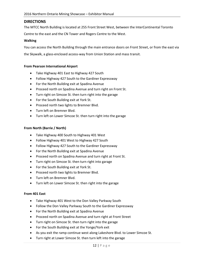# <span id="page-11-0"></span>**DIRECTIONS**

The MTCC North Building is located at 255 Front Street West, between the InterContinental Toronto

Centre to the east and the CN Tower and Rogers Centre to the West.

#### **Walking**

You can access the North Building through the main entrance doors on Front Street, or from the east via the Skywalk, a glass-enclosed access-way from Union Station and mass transit.

#### **From Pearson International Airport**

- Take Highway 401 East to Highway 427 South
- Follow Highway 427 South to the Gardiner Expressway
- For the North Building exit at Spadina Avenue
- Proceed north on Spadina Avenue and turn right on Front St.
- Turn right on Simcoe St. then turn right into the garage
- For the South Building exit at York St.
- Proceed north two lights to Bremner Blvd.
- Turn left on Bremner Blvd.
- Turn left on Lower Simcoe St. then turn right into the garage

#### **From North (Barrie / North)**

- Take Highway 400 South to Highway 401 West
- Follow Highway 401 West to Highway 427 South
- Follow Highway 427 South to the Gardiner Expressway
- For the North Building exit at Spadina Avenue
- Proceed north on Spadina Avenue and turn right at Front St.
- Turn right on Simcoe St. then turn right into garage
- For the South Building exit at York St.
- Proceed north two lights to Bremner Blvd.
- Turn left on Bremner Blvd.
- Turn left on Lower Simcoe St. then right into the garage

#### **From 401 East**

- Take Highway 401 West to the Don Valley Parkway South
- Follow the Don Valley Parkway South to the Gardiner Expressway
- For the North Building exit at Spadina Avenue
- Proceed north on Spadina Avenue and turn right at Front Street
- Turn right on Simcoe St. then turn right into the garage
- For the South Building exit at the Yonge/York exit
- As you exit the ramp continue west along Lakeshore Blvd. to Lower Simcoe St.
- Turn right at Lower Simcoe St. then turn left into the garage